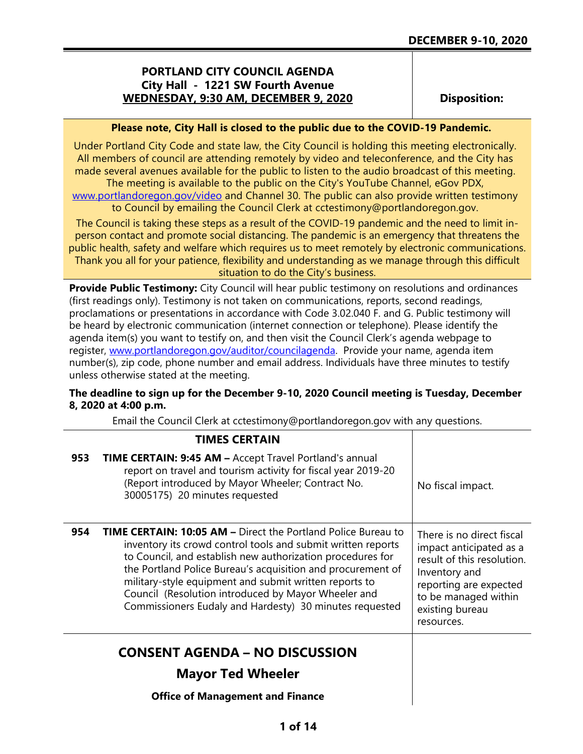# **PORTLAND CITY COUNCIL AGENDA City Hall - 1221 SW Fourth Avenue WEDNESDAY, 9:30 AM, DECEMBER 9, 2020**

**Disposition:**

### **Please note, City Hall is closed to the public due to the COVID-19 Pandemic.**

Under Portland City Code and state law, the City Council is holding this meeting electronically. All members of council are attending remotely by video and teleconference, and the City has made several avenues available for the public to listen to the audio broadcast of this meeting. The meeting is available to the public on the City's YouTube Channel, eGov PDX,

[www.portlandoregon.gov/video](http://www.portlandoregon.gov/video) and Channel 30. The public can also provide written testimony to Council by emailing the Council Clerk at cctestimony@portlandoregon.gov.

The Council is taking these steps as a result of the COVID-19 pandemic and the need to limit inperson contact and promote social distancing. The pandemic is an emergency that threatens the public health, safety and welfare which requires us to meet remotely by electronic communications. Thank you all for your patience, flexibility and understanding as we manage through this difficult situation to do the City's business.

**Provide Public Testimony:** City Council will hear public testimony on resolutions and ordinances (first readings only). Testimony is not taken on communications, reports, second readings, proclamations or presentations in accordance with Code 3.02.040 F. and G. Public testimony will be heard by electronic communication (internet connection or telephone). Please identify the agenda item(s) you want to testify on, and then visit the Council Clerk's agenda webpage to register, [www.portlandoregon.gov/auditor/councilagenda.](http://www.portlandoregon.gov/auditor/councilagenda) Provide your name, agenda item number(s), zip code, phone number and email address. Individuals have three minutes to testify unless otherwise stated at the meeting.

## **The deadline to sign up for the December 9-10, 2020 Council meeting is Tuesday, December 8, 2020 at 4:00 p.m.**

Email the Council Clerk at cctestimony@portlandoregon.gov with any questions.

|     | <b>TIMES CERTAIN</b>                                                                                                                                                                                                                                                                                                                                                                                                                          |                                                                                                                                                                                        |
|-----|-----------------------------------------------------------------------------------------------------------------------------------------------------------------------------------------------------------------------------------------------------------------------------------------------------------------------------------------------------------------------------------------------------------------------------------------------|----------------------------------------------------------------------------------------------------------------------------------------------------------------------------------------|
| 953 | <b>TIME CERTAIN: 9:45 AM - Accept Travel Portland's annual</b><br>report on travel and tourism activity for fiscal year 2019-20<br>(Report introduced by Mayor Wheeler; Contract No.<br>30005175) 20 minutes requested                                                                                                                                                                                                                        | No fiscal impact.                                                                                                                                                                      |
| 954 | <b>TIME CERTAIN: 10:05 AM – Direct the Portland Police Bureau to</b><br>inventory its crowd control tools and submit written reports<br>to Council, and establish new authorization procedures for<br>the Portland Police Bureau's acquisition and procurement of<br>military-style equipment and submit written reports to<br>Council (Resolution introduced by Mayor Wheeler and<br>Commissioners Eudaly and Hardesty) 30 minutes requested | There is no direct fiscal<br>impact anticipated as a<br>result of this resolution.<br>Inventory and<br>reporting are expected<br>to be managed within<br>existing bureau<br>resources. |
|     | <b>CONSENT AGENDA – NO DISCUSSION</b><br><b>Mayor Ted Wheeler</b>                                                                                                                                                                                                                                                                                                                                                                             |                                                                                                                                                                                        |
|     | <b>Office of Management and Finance</b>                                                                                                                                                                                                                                                                                                                                                                                                       |                                                                                                                                                                                        |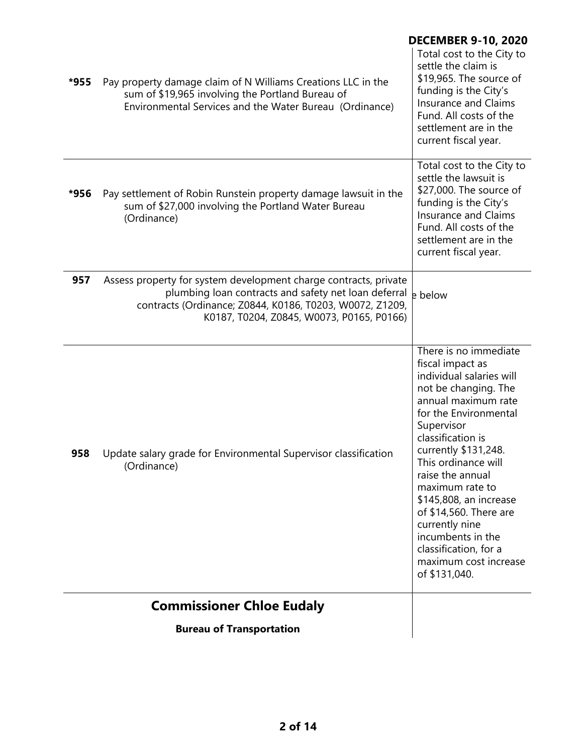|      |                                                                                                                                                                                                                                   | <b>DECEMBER 9-10, 2020</b>                                                                                                                                                                                                                                                                                                                                                                                                           |
|------|-----------------------------------------------------------------------------------------------------------------------------------------------------------------------------------------------------------------------------------|--------------------------------------------------------------------------------------------------------------------------------------------------------------------------------------------------------------------------------------------------------------------------------------------------------------------------------------------------------------------------------------------------------------------------------------|
| *955 | Pay property damage claim of N Williams Creations LLC in the<br>sum of \$19,965 involving the Portland Bureau of<br>Environmental Services and the Water Bureau (Ordinance)                                                       | Total cost to the City to<br>settle the claim is<br>\$19,965. The source of<br>funding is the City's<br><b>Insurance and Claims</b><br>Fund. All costs of the<br>settlement are in the<br>current fiscal year.                                                                                                                                                                                                                       |
| *956 | Pay settlement of Robin Runstein property damage lawsuit in the<br>sum of \$27,000 involving the Portland Water Bureau<br>(Ordinance)                                                                                             | Total cost to the City to<br>settle the lawsuit is<br>\$27,000. The source of<br>funding is the City's<br><b>Insurance and Claims</b><br>Fund. All costs of the<br>settlement are in the<br>current fiscal year.                                                                                                                                                                                                                     |
| 957  | Assess property for system development charge contracts, private<br>plumbing loan contracts and safety net loan deferral<br>contracts (Ordinance; Z0844, K0186, T0203, W0072, Z1209,<br>K0187, T0204, Z0845, W0073, P0165, P0166) | e below                                                                                                                                                                                                                                                                                                                                                                                                                              |
| 958  | Update salary grade for Environmental Supervisor classification<br>(Ordinance)                                                                                                                                                    | There is no immediate<br>fiscal impact as<br>individual salaries will<br>not be changing. The<br>annual maximum rate<br>for the Environmental<br>Supervisor<br>classification is<br>currently \$131,248.<br>This ordinance will<br>raise the annual<br>maximum rate to<br>\$145,808, an increase<br>of \$14,560. There are<br>currently nine<br>incumbents in the<br>classification, for a<br>maximum cost increase<br>of \$131,040. |
|      | <b>Commissioner Chloe Eudaly</b>                                                                                                                                                                                                  |                                                                                                                                                                                                                                                                                                                                                                                                                                      |

**Bureau of Transportation**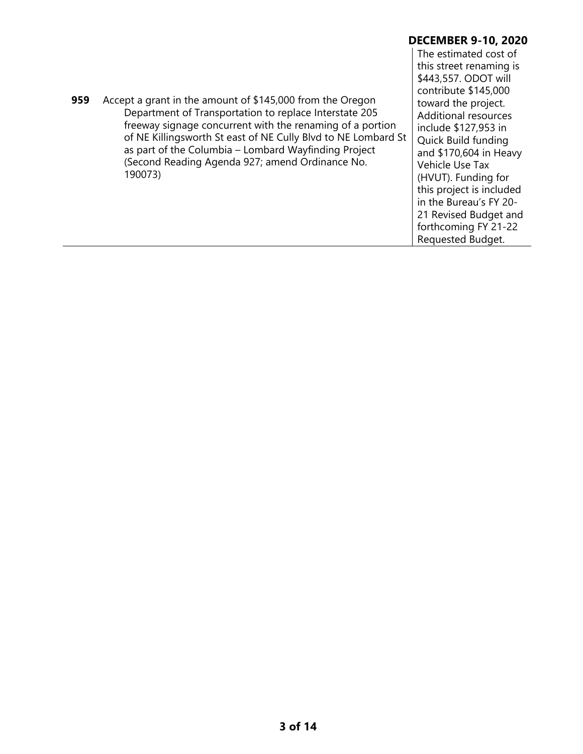|     |                                                                                                                                                                                                                                                                                                                                                                         | <b>DECEMBER 9-10, 2020</b>                                                                                                                                                                                                                                                                                                                                                                            |
|-----|-------------------------------------------------------------------------------------------------------------------------------------------------------------------------------------------------------------------------------------------------------------------------------------------------------------------------------------------------------------------------|-------------------------------------------------------------------------------------------------------------------------------------------------------------------------------------------------------------------------------------------------------------------------------------------------------------------------------------------------------------------------------------------------------|
| 959 | Accept a grant in the amount of \$145,000 from the Oregon<br>Department of Transportation to replace Interstate 205<br>freeway signage concurrent with the renaming of a portion<br>of NE Killingsworth St east of NE Cully Blvd to NE Lombard St<br>as part of the Columbia – Lombard Wayfinding Project<br>(Second Reading Agenda 927; amend Ordinance No.<br>190073) | The estimated cost of<br>this street renaming is<br>\$443,557. ODOT will<br>contribute \$145,000<br>toward the project.<br><b>Additional resources</b><br>include \$127,953 in<br>Quick Build funding<br>and \$170,604 in Heavy<br>Vehicle Use Tax<br>(HVUT). Funding for<br>this project is included<br>in the Bureau's FY 20-<br>21 Revised Budget and<br>forthcoming FY 21-22<br>Requested Budget. |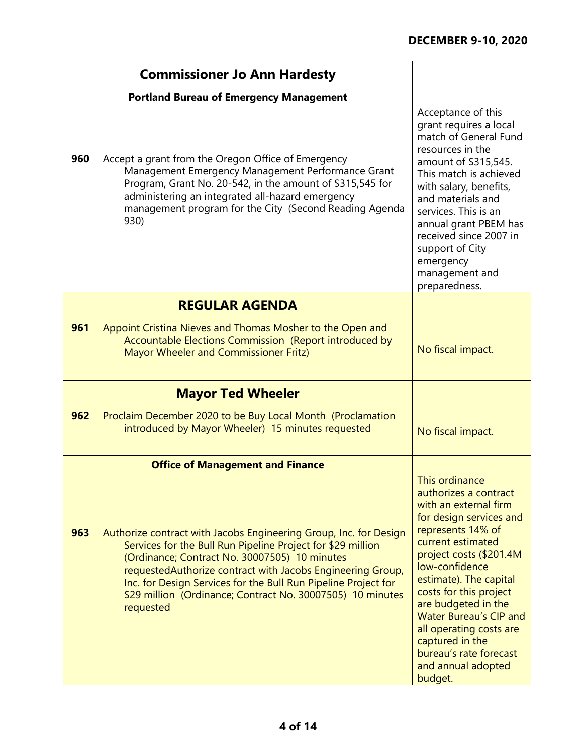$\blacksquare$ 

|     | <b>Commissioner Jo Ann Hardesty</b>                                                                                                                                                                                                                                                                                                                                                          |                                                                                                                                                                                                                                                                                                                                                                                                         |
|-----|----------------------------------------------------------------------------------------------------------------------------------------------------------------------------------------------------------------------------------------------------------------------------------------------------------------------------------------------------------------------------------------------|---------------------------------------------------------------------------------------------------------------------------------------------------------------------------------------------------------------------------------------------------------------------------------------------------------------------------------------------------------------------------------------------------------|
|     | <b>Portland Bureau of Emergency Management</b>                                                                                                                                                                                                                                                                                                                                               |                                                                                                                                                                                                                                                                                                                                                                                                         |
| 960 | Accept a grant from the Oregon Office of Emergency<br>Management Emergency Management Performance Grant<br>Program, Grant No. 20-542, in the amount of \$315,545 for<br>administering an integrated all-hazard emergency<br>management program for the City (Second Reading Agenda<br>930)                                                                                                   | Acceptance of this<br>grant requires a local<br>match of General Fund<br>resources in the<br>amount of \$315,545.<br>This match is achieved<br>with salary, benefits,<br>and materials and<br>services. This is an<br>annual grant PBEM has<br>received since 2007 in<br>support of City<br>emergency<br>management and<br>preparedness.                                                                |
|     | <b>REGULAR AGENDA</b>                                                                                                                                                                                                                                                                                                                                                                        |                                                                                                                                                                                                                                                                                                                                                                                                         |
| 961 | Appoint Cristina Nieves and Thomas Mosher to the Open and<br>Accountable Elections Commission (Report introduced by<br>Mayor Wheeler and Commissioner Fritz)                                                                                                                                                                                                                                 | No fiscal impact.                                                                                                                                                                                                                                                                                                                                                                                       |
|     | <b>Mayor Ted Wheeler</b>                                                                                                                                                                                                                                                                                                                                                                     |                                                                                                                                                                                                                                                                                                                                                                                                         |
| 962 | Proclaim December 2020 to be Buy Local Month (Proclamation<br>introduced by Mayor Wheeler) 15 minutes requested                                                                                                                                                                                                                                                                              | No fiscal impact.                                                                                                                                                                                                                                                                                                                                                                                       |
|     | <b>Office of Management and Finance</b>                                                                                                                                                                                                                                                                                                                                                      |                                                                                                                                                                                                                                                                                                                                                                                                         |
| 963 | Authorize contract with Jacobs Engineering Group, Inc. for Design<br>Services for the Bull Run Pipeline Project for \$29 million<br>(Ordinance; Contract No. 30007505) 10 minutes<br>requestedAuthorize contract with Jacobs Engineering Group,<br>Inc. for Design Services for the Bull Run Pipeline Project for<br>\$29 million (Ordinance; Contract No. 30007505) 10 minutes<br>requested | This ordinance<br>authorizes a contract<br>with an external firm<br>for design services and<br>represents 14% of<br>current estimated<br>project costs (\$201.4M<br>low-confidence<br>estimate). The capital<br>costs for this project<br>are budgeted in the<br><b>Water Bureau's CIP and</b><br>all operating costs are<br>captured in the<br>bureau's rate forecast<br>and annual adopted<br>budget. |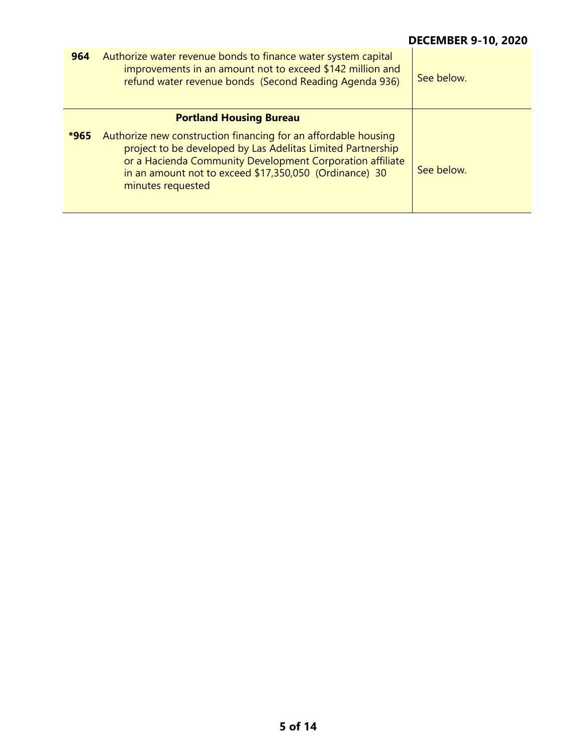| 964    | Authorize water revenue bonds to finance water system capital<br>improvements in an amount not to exceed \$142 million and<br>refund water revenue bonds (Second Reading Agenda 936)                                                                                      | See below. |
|--------|---------------------------------------------------------------------------------------------------------------------------------------------------------------------------------------------------------------------------------------------------------------------------|------------|
|        | <b>Portland Housing Bureau</b>                                                                                                                                                                                                                                            |            |
| $*965$ | Authorize new construction financing for an affordable housing<br>project to be developed by Las Adelitas Limited Partnership<br>or a Hacienda Community Development Corporation affiliate<br>in an amount not to exceed \$17,350,050 (Ordinance) 30<br>minutes requested | See below. |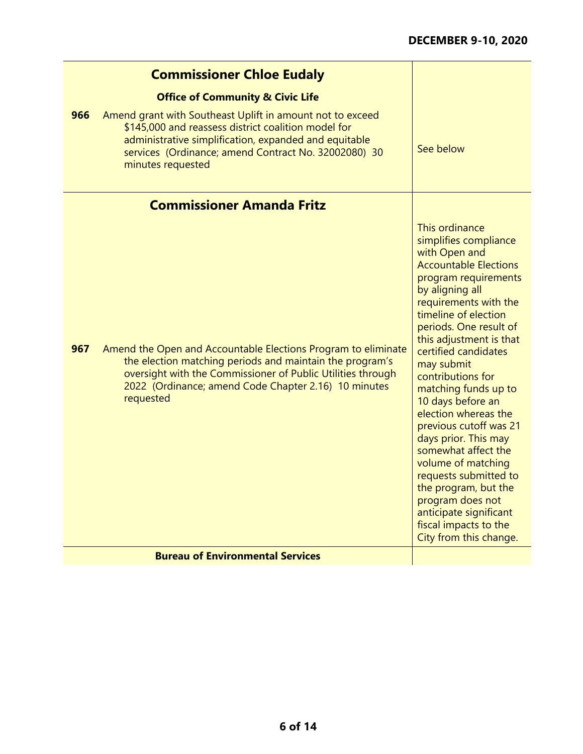|     | <b>Commissioner Chloe Eudaly</b>                                                                                                                                                                                                                              |                                                                                                                                                                                                                                                                                                                                                                                                                                                                                                                                                                                                                            |
|-----|---------------------------------------------------------------------------------------------------------------------------------------------------------------------------------------------------------------------------------------------------------------|----------------------------------------------------------------------------------------------------------------------------------------------------------------------------------------------------------------------------------------------------------------------------------------------------------------------------------------------------------------------------------------------------------------------------------------------------------------------------------------------------------------------------------------------------------------------------------------------------------------------------|
|     | <b>Office of Community &amp; Civic Life</b>                                                                                                                                                                                                                   |                                                                                                                                                                                                                                                                                                                                                                                                                                                                                                                                                                                                                            |
| 966 | Amend grant with Southeast Uplift in amount not to exceed<br>\$145,000 and reassess district coalition model for<br>administrative simplification, expanded and equitable<br>services (Ordinance; amend Contract No. 32002080) 30<br>minutes requested        | See below                                                                                                                                                                                                                                                                                                                                                                                                                                                                                                                                                                                                                  |
|     | <b>Commissioner Amanda Fritz</b>                                                                                                                                                                                                                              |                                                                                                                                                                                                                                                                                                                                                                                                                                                                                                                                                                                                                            |
| 967 | Amend the Open and Accountable Elections Program to eliminate<br>the election matching periods and maintain the program's<br>oversight with the Commissioner of Public Utilities through<br>2022 (Ordinance; amend Code Chapter 2.16) 10 minutes<br>requested | This ordinance<br>simplifies compliance<br>with Open and<br><b>Accountable Elections</b><br>program requirements<br>by aligning all<br>requirements with the<br>timeline of election<br>periods. One result of<br>this adjustment is that<br>certified candidates<br>may submit<br>contributions for<br>matching funds up to<br>10 days before an<br>election whereas the<br>previous cutoff was 21<br>days prior. This may<br>somewhat affect the<br>volume of matching<br>requests submitted to<br>the program, but the<br>program does not<br>anticipate significant<br>fiscal impacts to the<br>City from this change. |
|     | <b>Bureau of Environmental Services</b>                                                                                                                                                                                                                       |                                                                                                                                                                                                                                                                                                                                                                                                                                                                                                                                                                                                                            |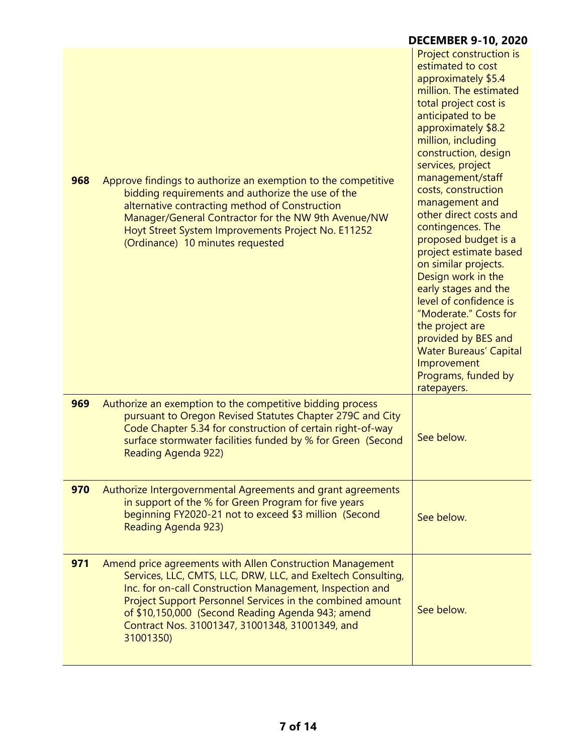|     |                                                                                                                                                                                                                                                                                                                                                                         | <b>DECEMBER 9-10, 2020</b>                                                                                                                                                                                                                                                                                                                                                                                                                                                                                                                                                                                                                                   |
|-----|-------------------------------------------------------------------------------------------------------------------------------------------------------------------------------------------------------------------------------------------------------------------------------------------------------------------------------------------------------------------------|--------------------------------------------------------------------------------------------------------------------------------------------------------------------------------------------------------------------------------------------------------------------------------------------------------------------------------------------------------------------------------------------------------------------------------------------------------------------------------------------------------------------------------------------------------------------------------------------------------------------------------------------------------------|
| 968 | Approve findings to authorize an exemption to the competitive<br>bidding requirements and authorize the use of the<br>alternative contracting method of Construction<br>Manager/General Contractor for the NW 9th Avenue/NW<br>Hoyt Street System Improvements Project No. E11252<br>(Ordinance) 10 minutes requested                                                   | Project construction is<br>estimated to cost<br>approximately \$5.4<br>million. The estimated<br>total project cost is<br>anticipated to be<br>approximately \$8.2<br>million, including<br>construction, design<br>services, project<br>management/staff<br>costs, construction<br>management and<br>other direct costs and<br>contingences. The<br>proposed budget is a<br>project estimate based<br>on similar projects.<br>Design work in the<br>early stages and the<br>level of confidence is<br>"Moderate." Costs for<br>the project are<br>provided by BES and<br><b>Water Bureaus' Capital</b><br>Improvement<br>Programs, funded by<br>ratepayers. |
| 969 | Authorize an exemption to the competitive bidding process<br>pursuant to Oregon Revised Statutes Chapter 279C and City<br>Code Chapter 5.34 for construction of certain right-of-way<br>surface stormwater facilities funded by % for Green (Second<br>Reading Agenda 922)                                                                                              | See below.                                                                                                                                                                                                                                                                                                                                                                                                                                                                                                                                                                                                                                                   |
| 970 | Authorize Intergovernmental Agreements and grant agreements<br>in support of the % for Green Program for five years<br>beginning FY2020-21 not to exceed \$3 million (Second<br>Reading Agenda 923)                                                                                                                                                                     | See below.                                                                                                                                                                                                                                                                                                                                                                                                                                                                                                                                                                                                                                                   |
| 971 | Amend price agreements with Allen Construction Management<br>Services, LLC, CMTS, LLC, DRW, LLC, and Exeltech Consulting,<br>Inc. for on-call Construction Management, Inspection and<br>Project Support Personnel Services in the combined amount<br>of \$10,150,000 (Second Reading Agenda 943; amend<br>Contract Nos. 31001347, 31001348, 31001349, and<br>31001350) | See below.                                                                                                                                                                                                                                                                                                                                                                                                                                                                                                                                                                                                                                                   |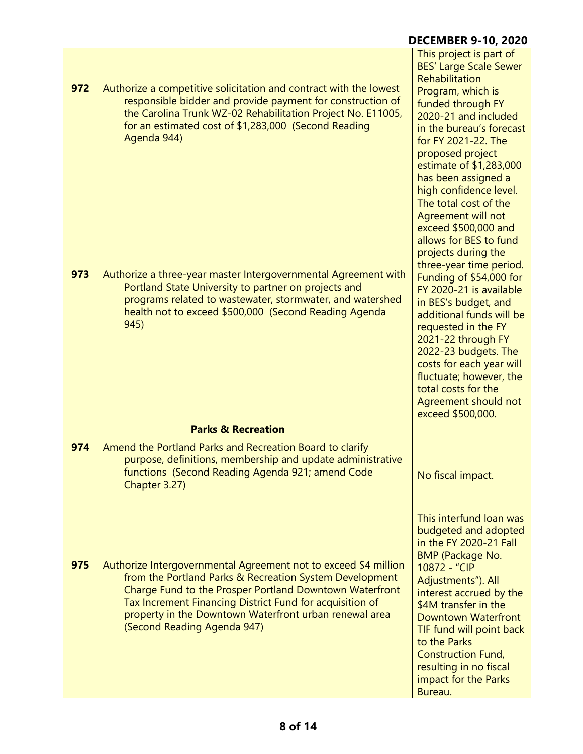|     |                                                                                                                                                                                                                                                                                                                                            | <b>DECEMBER 9-10, 2020</b>                                                                                                                                                                                                                                                                                                                                                                                                                                |
|-----|--------------------------------------------------------------------------------------------------------------------------------------------------------------------------------------------------------------------------------------------------------------------------------------------------------------------------------------------|-----------------------------------------------------------------------------------------------------------------------------------------------------------------------------------------------------------------------------------------------------------------------------------------------------------------------------------------------------------------------------------------------------------------------------------------------------------|
| 972 | Authorize a competitive solicitation and contract with the lowest<br>responsible bidder and provide payment for construction of<br>the Carolina Trunk WZ-02 Rehabilitation Project No. E11005,<br>for an estimated cost of \$1,283,000 (Second Reading<br>Agenda 944)                                                                      | This project is part of<br><b>BES' Large Scale Sewer</b><br>Rehabilitation<br>Program, which is<br>funded through FY<br>2020-21 and included<br>in the bureau's forecast<br>for FY 2021-22. The<br>proposed project<br>estimate of \$1,283,000<br>has been assigned a<br>high confidence level.                                                                                                                                                           |
| 973 | Authorize a three-year master Intergovernmental Agreement with<br>Portland State University to partner on projects and<br>programs related to wastewater, stormwater, and watershed<br>health not to exceed \$500,000 (Second Reading Agenda<br>945)                                                                                       | The total cost of the<br>Agreement will not<br>exceed \$500,000 and<br>allows for BES to fund<br>projects during the<br>three-year time period.<br>Funding of \$54,000 for<br>FY 2020-21 is available<br>in BES's budget, and<br>additional funds will be<br>requested in the FY<br>2021-22 through FY<br>2022-23 budgets. The<br>costs for each year will<br>fluctuate; however, the<br>total costs for the<br>Agreement should not<br>exceed \$500,000. |
|     | <b>Parks &amp; Recreation</b>                                                                                                                                                                                                                                                                                                              |                                                                                                                                                                                                                                                                                                                                                                                                                                                           |
| 974 | Amend the Portland Parks and Recreation Board to clarify<br>purpose, definitions, membership and update administrative<br>functions (Second Reading Agenda 921; amend Code<br>Chapter 3.27)                                                                                                                                                | No fiscal impact.                                                                                                                                                                                                                                                                                                                                                                                                                                         |
| 975 | Authorize Intergovernmental Agreement not to exceed \$4 million<br>from the Portland Parks & Recreation System Development<br>Charge Fund to the Prosper Portland Downtown Waterfront<br>Tax Increment Financing District Fund for acquisition of<br>property in the Downtown Waterfront urban renewal area<br>(Second Reading Agenda 947) | This interfund loan was<br>budgeted and adopted<br>in the FY 2020-21 Fall<br><b>BMP</b> (Package No.<br>10872 - "CIP<br>Adjustments"). All<br>interest accrued by the<br>\$4M transfer in the<br><b>Downtown Waterfront</b><br>TIF fund will point back<br>to the Parks<br><b>Construction Fund,</b><br>resulting in no fiscal<br>impact for the Parks<br>Bureau.                                                                                         |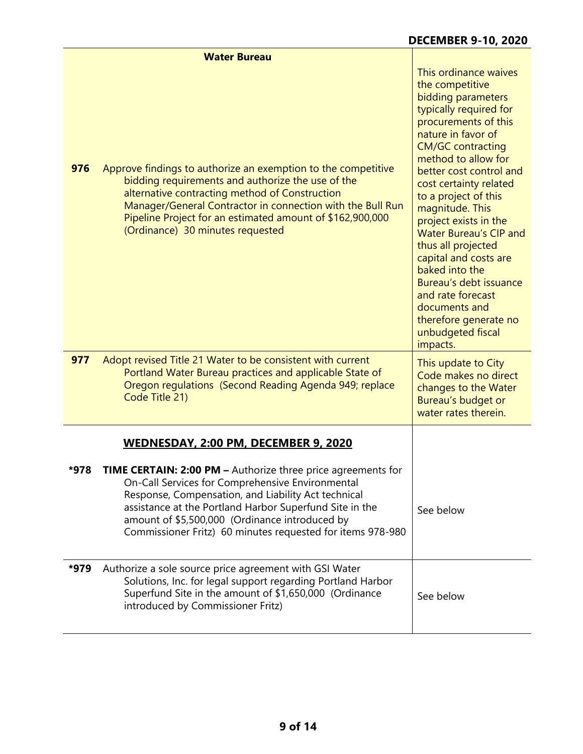|      | <b>Water Bureau</b>                                                                                                                                                                                                                                                                                                                                       |                                                                                                                                                                                                                                                                                                                                                                                                                                                                                                                                                |
|------|-----------------------------------------------------------------------------------------------------------------------------------------------------------------------------------------------------------------------------------------------------------------------------------------------------------------------------------------------------------|------------------------------------------------------------------------------------------------------------------------------------------------------------------------------------------------------------------------------------------------------------------------------------------------------------------------------------------------------------------------------------------------------------------------------------------------------------------------------------------------------------------------------------------------|
| 976  | Approve findings to authorize an exemption to the competitive<br>bidding requirements and authorize the use of the<br>alternative contracting method of Construction<br>Manager/General Contractor in connection with the Bull Run<br>Pipeline Project for an estimated amount of \$162,900,000<br>(Ordinance) 30 minutes requested                       | This ordinance waives<br>the competitive<br>bidding parameters<br>typically required for<br>procurements of this<br>nature in favor of<br><b>CM/GC contracting</b><br>method to allow for<br>better cost control and<br>cost certainty related<br>to a project of this<br>magnitude. This<br>project exists in the<br><b>Water Bureau's CIP and</b><br>thus all projected<br>capital and costs are<br>baked into the<br>Bureau's debt issuance<br>and rate forecast<br>documents and<br>therefore generate no<br>unbudgeted fiscal<br>impacts. |
| 977  | Adopt revised Title 21 Water to be consistent with current<br>Portland Water Bureau practices and applicable State of<br>Oregon regulations (Second Reading Agenda 949; replace<br>Code Title 21)                                                                                                                                                         | This update to City<br>Code makes no direct<br>changes to the Water<br>Bureau's budget or<br>water rates therein.                                                                                                                                                                                                                                                                                                                                                                                                                              |
|      | WEDNESDAY, 2:00 PM, DECEMBER 9, 2020                                                                                                                                                                                                                                                                                                                      |                                                                                                                                                                                                                                                                                                                                                                                                                                                                                                                                                |
| *978 | <b>TIME CERTAIN: 2:00 PM - Authorize three price agreements for</b><br>On-Call Services for Comprehensive Environmental<br>Response, Compensation, and Liability Act technical<br>assistance at the Portland Harbor Superfund Site in the<br>amount of \$5,500,000 (Ordinance introduced by<br>Commissioner Fritz) 60 minutes requested for items 978-980 | See below                                                                                                                                                                                                                                                                                                                                                                                                                                                                                                                                      |
| *979 | Authorize a sole source price agreement with GSI Water<br>Solutions, Inc. for legal support regarding Portland Harbor<br>Superfund Site in the amount of \$1,650,000 (Ordinance<br>introduced by Commissioner Fritz)                                                                                                                                      | See below                                                                                                                                                                                                                                                                                                                                                                                                                                                                                                                                      |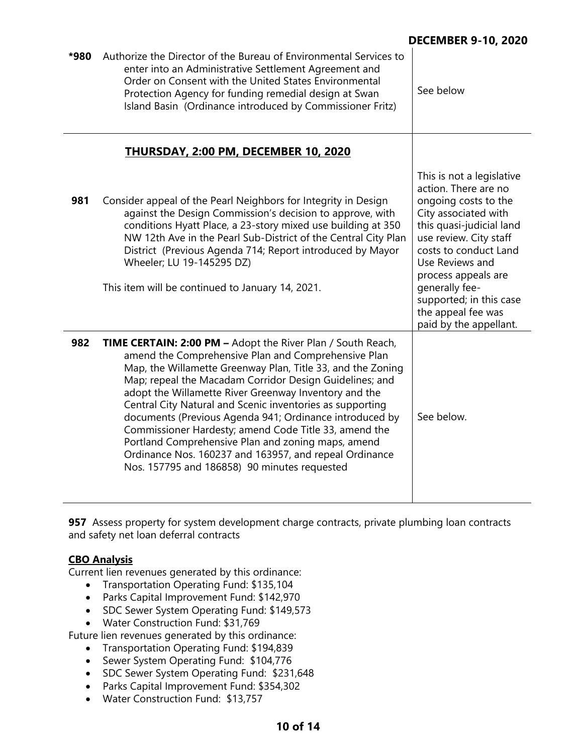| *980 | Authorize the Director of the Bureau of Environmental Services to<br>enter into an Administrative Settlement Agreement and<br>Order on Consent with the United States Environmental<br>Protection Agency for funding remedial design at Swan<br>Island Basin (Ordinance introduced by Commissioner Fritz)                                                                                                                                                                                                                                                                                                                                                     | See below                                                                                                                                                                                                                                                                                                               |
|------|---------------------------------------------------------------------------------------------------------------------------------------------------------------------------------------------------------------------------------------------------------------------------------------------------------------------------------------------------------------------------------------------------------------------------------------------------------------------------------------------------------------------------------------------------------------------------------------------------------------------------------------------------------------|-------------------------------------------------------------------------------------------------------------------------------------------------------------------------------------------------------------------------------------------------------------------------------------------------------------------------|
|      | <b>THURSDAY, 2:00 PM, DECEMBER 10, 2020</b>                                                                                                                                                                                                                                                                                                                                                                                                                                                                                                                                                                                                                   |                                                                                                                                                                                                                                                                                                                         |
| 981  | Consider appeal of the Pearl Neighbors for Integrity in Design<br>against the Design Commission's decision to approve, with<br>conditions Hyatt Place, a 23-story mixed use building at 350<br>NW 12th Ave in the Pearl Sub-District of the Central City Plan<br>District (Previous Agenda 714; Report introduced by Mayor<br>Wheeler; LU 19-145295 DZ)<br>This item will be continued to January 14, 2021.                                                                                                                                                                                                                                                   | This is not a legislative<br>action. There are no<br>ongoing costs to the<br>City associated with<br>this quasi-judicial land<br>use review. City staff<br>costs to conduct Land<br>Use Reviews and<br>process appeals are<br>generally fee-<br>supported; in this case<br>the appeal fee was<br>paid by the appellant. |
| 982  | <b>TIME CERTAIN: 2:00 PM - Adopt the River Plan / South Reach,</b><br>amend the Comprehensive Plan and Comprehensive Plan<br>Map, the Willamette Greenway Plan, Title 33, and the Zoning<br>Map; repeal the Macadam Corridor Design Guidelines; and<br>adopt the Willamette River Greenway Inventory and the<br>Central City Natural and Scenic inventories as supporting<br>documents (Previous Agenda 941; Ordinance introduced by<br>Commissioner Hardesty; amend Code Title 33, amend the<br>Portland Comprehensive Plan and zoning maps, amend<br>Ordinance Nos. 160237 and 163957, and repeal Ordinance<br>Nos. 157795 and 186858) 90 minutes requested | See below.                                                                                                                                                                                                                                                                                                              |

**957** Assess property for system development charge contracts, private plumbing loan contracts and safety net loan deferral contracts

# **CBO Analysis**

Current lien revenues generated by this ordinance:

- Transportation Operating Fund: \$135,104
- Parks Capital Improvement Fund: \$142,970
- SDC Sewer System Operating Fund: \$149,573
- Water Construction Fund: \$31,769

Future lien revenues generated by this ordinance:

- Transportation Operating Fund: \$194,839
- Sewer System Operating Fund: \$104,776
- SDC Sewer System Operating Fund: \$231,648
- Parks Capital Improvement Fund: \$354,302
- Water Construction Fund: \$13,757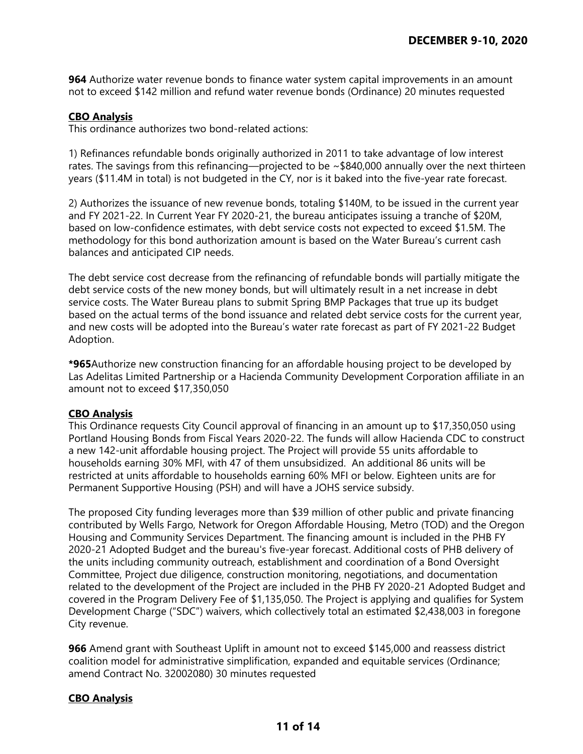**964** Authorize water revenue bonds to finance water system capital improvements in an amount not to exceed \$142 million and refund water revenue bonds (Ordinance) 20 minutes requested

#### **CBO Analysis**

This ordinance authorizes two bond-related actions:

1) Refinances refundable bonds originally authorized in 2011 to take advantage of low interest rates. The savings from this refinancing—projected to be ~\$840,000 annually over the next thirteen years (\$11.4M in total) is not budgeted in the CY, nor is it baked into the five-year rate forecast.

2) Authorizes the issuance of new revenue bonds, totaling \$140M, to be issued in the current year and FY 2021-22. In Current Year FY 2020-21, the bureau anticipates issuing a tranche of \$20M, based on low-confidence estimates, with debt service costs not expected to exceed \$1.5M. The methodology for this bond authorization amount is based on the Water Bureau's current cash balances and anticipated CIP needs.

The debt service cost decrease from the refinancing of refundable bonds will partially mitigate the debt service costs of the new money bonds, but will ultimately result in a net increase in debt service costs. The Water Bureau plans to submit Spring BMP Packages that true up its budget based on the actual terms of the bond issuance and related debt service costs for the current year, and new costs will be adopted into the Bureau's water rate forecast as part of FY 2021-22 Budget Adoption.

**\*965**Authorize new construction financing for an affordable housing project to be developed by Las Adelitas Limited Partnership or a Hacienda Community Development Corporation affiliate in an amount not to exceed \$17,350,050

#### **CBO Analysis**

This Ordinance requests City Council approval of financing in an amount up to \$17,350,050 using Portland Housing Bonds from Fiscal Years 2020-22. The funds will allow Hacienda CDC to construct a new 142-unit affordable housing project. The Project will provide 55 units affordable to households earning 30% MFI, with 47 of them unsubsidized. An additional 86 units will be restricted at units affordable to households earning 60% MFI or below. Eighteen units are for Permanent Supportive Housing (PSH) and will have a JOHS service subsidy.

The proposed City funding leverages more than \$39 million of other public and private financing contributed by Wells Fargo, Network for Oregon Affordable Housing, Metro (TOD) and the Oregon Housing and Community Services Department. The financing amount is included in the PHB FY 2020-21 Adopted Budget and the bureau's five-year forecast. Additional costs of PHB delivery of the units including community outreach, establishment and coordination of a Bond Oversight Committee, Project due diligence, construction monitoring, negotiations, and documentation related to the development of the Project are included in the PHB FY 2020-21 Adopted Budget and covered in the Program Delivery Fee of \$1,135,050. The Project is applying and qualifies for System Development Charge ("SDC") waivers, which collectively total an estimated \$2,438,003 in foregone City revenue.

**966** Amend grant with Southeast Uplift in amount not to exceed \$145,000 and reassess district coalition model for administrative simplification, expanded and equitable services (Ordinance; amend Contract No. 32002080) 30 minutes requested

## **CBO Analysis**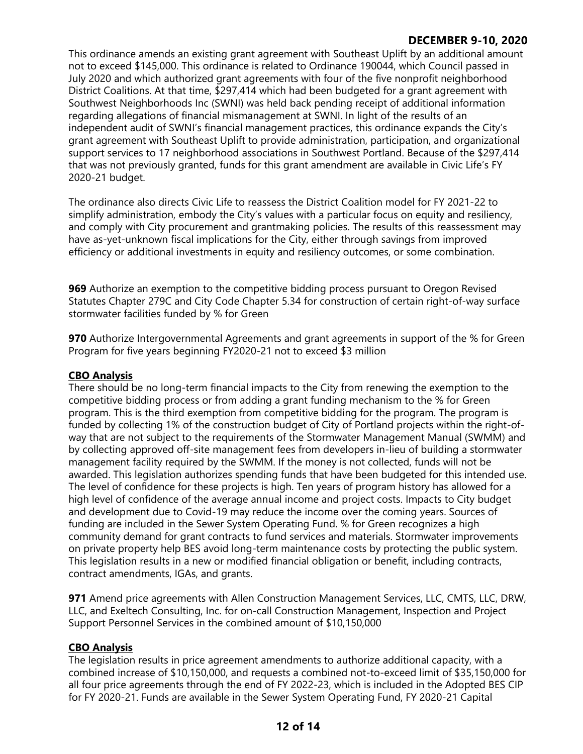# **DECEMBER 9-10, 2020**

This ordinance amends an existing grant agreement with Southeast Uplift by an additional amount not to exceed \$145,000. This ordinance is related to Ordinance 190044, which Council passed in July 2020 and which authorized grant agreements with four of the five nonprofit neighborhood District Coalitions. At that time, \$297,414 which had been budgeted for a grant agreement with Southwest Neighborhoods Inc (SWNI) was held back pending receipt of additional information regarding allegations of financial mismanagement at SWNI. In light of the results of an independent audit of SWNI's financial management practices, this ordinance expands the City's grant agreement with Southeast Uplift to provide administration, participation, and organizational support services to 17 neighborhood associations in Southwest Portland. Because of the \$297,414 that was not previously granted, funds for this grant amendment are available in Civic Life's FY 2020-21 budget.

The ordinance also directs Civic Life to reassess the District Coalition model for FY 2021-22 to simplify administration, embody the City's values with a particular focus on equity and resiliency, and comply with City procurement and grantmaking policies. The results of this reassessment may have as-yet-unknown fiscal implications for the City, either through savings from improved efficiency or additional investments in equity and resiliency outcomes, or some combination.

**969** Authorize an exemption to the competitive bidding process pursuant to Oregon Revised Statutes Chapter 279C and City Code Chapter 5.34 for construction of certain right-of-way surface stormwater facilities funded by % for Green

**970** Authorize Intergovernmental Agreements and grant agreements in support of the % for Green Program for five years beginning FY2020-21 not to exceed \$3 million

## **CBO Analysis**

There should be no long-term financial impacts to the City from renewing the exemption to the competitive bidding process or from adding a grant funding mechanism to the % for Green program. This is the third exemption from competitive bidding for the program. The program is funded by collecting 1% of the construction budget of City of Portland projects within the right-ofway that are not subject to the requirements of the Stormwater Management Manual (SWMM) and by collecting approved off-site management fees from developers in-lieu of building a stormwater management facility required by the SWMM. If the money is not collected, funds will not be awarded. This legislation authorizes spending funds that have been budgeted for this intended use. The level of confidence for these projects is high. Ten years of program history has allowed for a high level of confidence of the average annual income and project costs. Impacts to City budget and development due to Covid-19 may reduce the income over the coming years. Sources of funding are included in the Sewer System Operating Fund. % for Green recognizes a high community demand for grant contracts to fund services and materials. Stormwater improvements on private property help BES avoid long-term maintenance costs by protecting the public system. This legislation results in a new or modified financial obligation or benefit, including contracts, contract amendments, IGAs, and grants.

**971** Amend price agreements with Allen Construction Management Services, LLC, CMTS, LLC, DRW, LLC, and Exeltech Consulting, Inc. for on-call Construction Management, Inspection and Project Support Personnel Services in the combined amount of \$10,150,000

## **CBO Analysis**

The legislation results in price agreement amendments to authorize additional capacity, with a combined increase of \$10,150,000, and requests a combined not-to-exceed limit of \$35,150,000 for all four price agreements through the end of FY 2022-23, which is included in the Adopted BES CIP for FY 2020-21. Funds are available in the Sewer System Operating Fund, FY 2020-21 Capital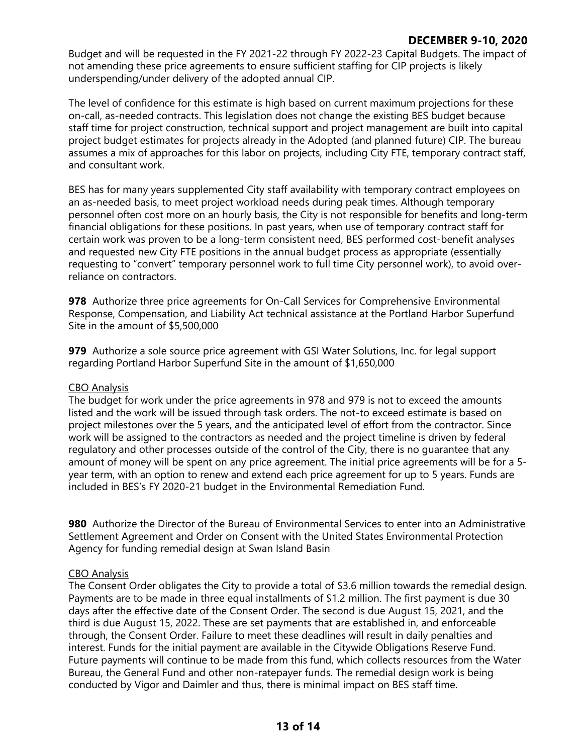## **DECEMBER 9-10, 2020**

Budget and will be requested in the FY 2021-22 through FY 2022-23 Capital Budgets. The impact of not amending these price agreements to ensure sufficient staffing for CIP projects is likely underspending/under delivery of the adopted annual CIP.

The level of confidence for this estimate is high based on current maximum projections for these on-call, as-needed contracts. This legislation does not change the existing BES budget because staff time for project construction, technical support and project management are built into capital project budget estimates for projects already in the Adopted (and planned future) CIP. The bureau assumes a mix of approaches for this labor on projects, including City FTE, temporary contract staff, and consultant work.

BES has for many years supplemented City staff availability with temporary contract employees on an as-needed basis, to meet project workload needs during peak times. Although temporary personnel often cost more on an hourly basis, the City is not responsible for benefits and long-term financial obligations for these positions. In past years, when use of temporary contract staff for certain work was proven to be a long-term consistent need, BES performed cost-benefit analyses and requested new City FTE positions in the annual budget process as appropriate (essentially requesting to "convert" temporary personnel work to full time City personnel work), to avoid overreliance on contractors.

**978** Authorize three price agreements for On-Call Services for Comprehensive Environmental Response, Compensation, and Liability Act technical assistance at the Portland Harbor Superfund Site in the amount of \$5,500,000

**979** Authorize a sole source price agreement with GSI Water Solutions, Inc. for legal support regarding Portland Harbor Superfund Site in the amount of \$1,650,000

## CBO Analysis

The budget for work under the price agreements in 978 and 979 is not to exceed the amounts listed and the work will be issued through task orders. The not-to exceed estimate is based on project milestones over the 5 years, and the anticipated level of effort from the contractor. Since work will be assigned to the contractors as needed and the project timeline is driven by federal regulatory and other processes outside of the control of the City, there is no guarantee that any amount of money will be spent on any price agreement. The initial price agreements will be for a 5 year term, with an option to renew and extend each price agreement for up to 5 years. Funds are included in BES's FY 2020-21 budget in the Environmental Remediation Fund.

**980** Authorize the Director of the Bureau of Environmental Services to enter into an Administrative Settlement Agreement and Order on Consent with the United States Environmental Protection Agency for funding remedial design at Swan Island Basin

## CBO Analysis

The Consent Order obligates the City to provide a total of \$3.6 million towards the remedial design. Payments are to be made in three equal installments of \$1.2 million. The first payment is due 30 days after the effective date of the Consent Order. The second is due August 15, 2021, and the third is due August 15, 2022. These are set payments that are established in, and enforceable through, the Consent Order. Failure to meet these deadlines will result in daily penalties and interest. Funds for the initial payment are available in the Citywide Obligations Reserve Fund. Future payments will continue to be made from this fund, which collects resources from the Water Bureau, the General Fund and other non-ratepayer funds. The remedial design work is being conducted by Vigor and Daimler and thus, there is minimal impact on BES staff time.